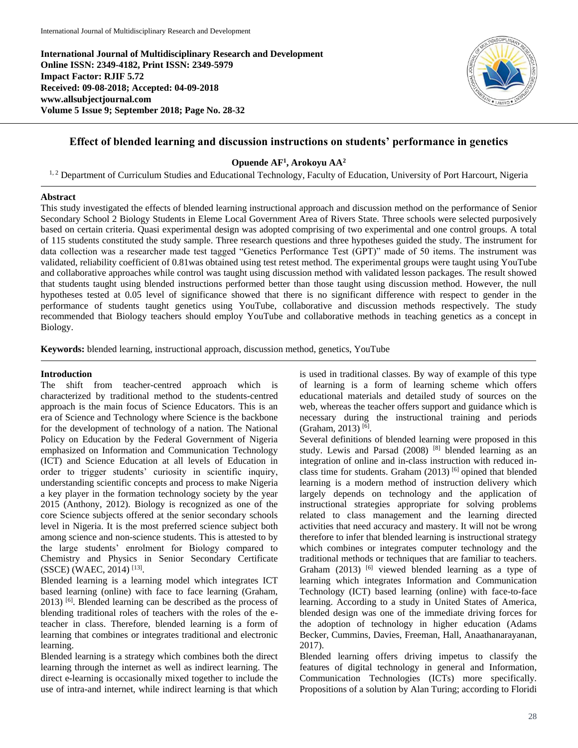**International Journal of Multidisciplinary Research and Development Online ISSN: 2349-4182, Print ISSN: 2349-5979 Impact Factor: RJIF 5.72 Received: 09-08-2018; Accepted: 04-09-2018 www.allsubjectjournal.com Volume 5 Issue 9; September 2018; Page No. 28-32**



# **Effect of blended learning and discussion instructions on students' performance in genetics**

**Opuende AF<sup>1</sup> , Arokoyu AA<sup>2</sup>**

<sup>1, 2</sup> Department of Curriculum Studies and Educational Technology, Faculty of Education, University of Port Harcourt, Nigeria

## **Abstract**

This study investigated the effects of blended learning instructional approach and discussion method on the performance of Senior Secondary School 2 Biology Students in Eleme Local Government Area of Rivers State. Three schools were selected purposively based on certain criteria. Quasi experimental design was adopted comprising of two experimental and one control groups. A total of 115 students constituted the study sample. Three research questions and three hypotheses guided the study. The instrument for data collection was a researcher made test tagged "Genetics Performance Test (GPT)" made of 50 items. The instrument was validated, reliability coefficient of 0.81was obtained using test retest method. The experimental groups were taught using YouTube and collaborative approaches while control was taught using discussion method with validated lesson packages. The result showed that students taught using blended instructions performed better than those taught using discussion method. However, the null hypotheses tested at 0.05 level of significance showed that there is no significant difference with respect to gender in the performance of students taught genetics using YouTube, collaborative and discussion methods respectively. The study recommended that Biology teachers should employ YouTube and collaborative methods in teaching genetics as a concept in Biology.

**Keywords:** blended learning, instructional approach, discussion method, genetics, YouTube

## **Introduction**

The shift from teacher-centred approach which is characterized by traditional method to the students-centred approach is the main focus of Science Educators. This is an era of Science and Technology where Science is the backbone for the development of technology of a nation. The National Policy on Education by the Federal Government of Nigeria emphasized on Information and Communication Technology (ICT) and Science Education at all levels of Education in order to trigger students' curiosity in scientific inquiry, understanding scientific concepts and process to make Nigeria a key player in the formation technology society by the year 2015 (Anthony, 2012). Biology is recognized as one of the core Science subjects offered at the senior secondary schools level in Nigeria. It is the most preferred science subject both among science and non-science students. This is attested to by the large students' enrolment for Biology compared to Chemistry and Physics in Senior Secondary Certificate (SSCE) (WAEC, 2014) [13] .

Blended learning is a learning model which integrates ICT based learning (online) with face to face learning (Graham, 2013) [6]. Blended learning can be described as the process of blending traditional roles of teachers with the roles of the eteacher in class. Therefore, blended learning is a form of learning that combines or integrates traditional and electronic learning.

Blended learning is a strategy which combines both the direct learning through the internet as well as indirect learning. The direct e-learning is occasionally mixed together to include the use of intra-and internet, while indirect learning is that which is used in traditional classes. By way of example of this type of learning is a form of learning scheme which offers educational materials and detailed study of sources on the web, whereas the teacher offers support and guidance which is necessary during the instructional training and periods (Graham, 2013)<sup>[6]</sup>.

Several definitions of blended learning were proposed in this study. Lewis and Parsad (2008) [8] blended learning as an integration of online and in-class instruction with reduced inclass time for students. Graham (2013)<sup>[6]</sup> opined that blended learning is a modern method of instruction delivery which largely depends on technology and the application of instructional strategies appropriate for solving problems related to class management and the learning directed activities that need accuracy and mastery. It will not be wrong therefore to infer that blended learning is instructional strategy which combines or integrates computer technology and the traditional methods or techniques that are familiar to teachers. Graham  $(2013)$  <sup>[6]</sup> viewed blended learning as a type of learning which integrates Information and Communication Technology (ICT) based learning (online) with face-to-face learning. According to a study in United States of America, blended design was one of the immediate driving forces for the adoption of technology in higher education (Adams Becker, Cummins, Davies, Freeman, Hall, Anaathanarayanan, 2017).

Blended learning offers driving impetus to classify the features of digital technology in general and Information, Communication Technologies (ICTs) more specifically. Propositions of a solution by Alan Turing; according to Floridi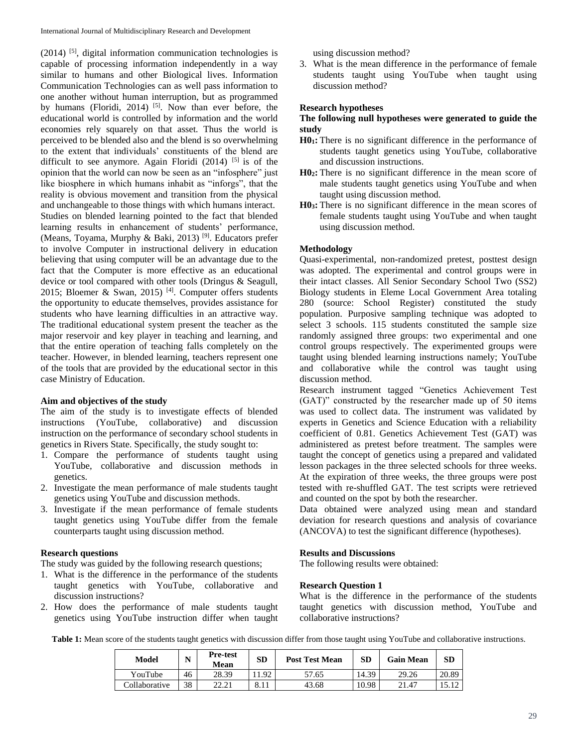$(2014)$ <sup>[5]</sup>, digital information communication technologies is capable of processing information independently in a way similar to humans and other Biological lives. Information Communication Technologies can as well pass information to one another without human interruption, but as programmed by humans (Floridi, 2014) <sup>[5]</sup>. Now than ever before, the educational world is controlled by information and the world economies rely squarely on that asset. Thus the world is perceived to be blended also and the blend is so overwhelming to the extent that individuals' constituents of the blend are difficult to see anymore. Again Floridi (2014)  $[5]$  is of the opinion that the world can now be seen as an "infosphere" just like biosphere in which humans inhabit as "inforgs", that the reality is obvious movement and transition from the physical and unchangeable to those things with which humans interact. Studies on blended learning pointed to the fact that blended learning results in enhancement of students' performance, (Means, Toyama, Murphy & Baki, 2013) [9]. Educators prefer to involve Computer in instructional delivery in education believing that using computer will be an advantage due to the fact that the Computer is more effective as an educational device or tool compared with other tools (Dringus & Seagull, 2015; Bloemer & Swan, 2015)<sup>[4]</sup>. Computer offers students the opportunity to educate themselves, provides assistance for students who have learning difficulties in an attractive way. The traditional educational system present the teacher as the major reservoir and key player in teaching and learning, and that the entire operation of teaching falls completely on the teacher. However, in blended learning, teachers represent one of the tools that are provided by the educational sector in this case Ministry of Education.

### **Aim and objectives of the study**

The aim of the study is to investigate effects of blended instructions (YouTube, collaborative) and discussion instruction on the performance of secondary school students in genetics in Rivers State. Specifically, the study sought to:

- 1. Compare the performance of students taught using YouTube, collaborative and discussion methods in genetics.
- 2. Investigate the mean performance of male students taught genetics using YouTube and discussion methods.
- 3. Investigate if the mean performance of female students taught genetics using YouTube differ from the female counterparts taught using discussion method.

### **Research questions**

The study was guided by the following research questions;

- 1. What is the difference in the performance of the students taught genetics with YouTube, collaborative and discussion instructions?
- 2. How does the performance of male students taught genetics using YouTube instruction differ when taught

using discussion method?

3. What is the mean difference in the performance of female students taught using YouTube when taught using discussion method?

#### **Research hypotheses**

## **The following null hypotheses were generated to guide the study**

- **H01:** There is no significant difference in the performance of students taught genetics using YouTube, collaborative and discussion instructions.
- **H02:** There is no significant difference in the mean score of male students taught genetics using YouTube and when taught using discussion method.
- **H03:** There is no significant difference in the mean scores of female students taught using YouTube and when taught using discussion method.

### **Methodology**

Quasi-experimental, non-randomized pretest, posttest design was adopted. The experimental and control groups were in their intact classes. All Senior Secondary School Two (SS2) Biology students in Eleme Local Government Area totaling 280 (source: School Register) constituted the study population. Purposive sampling technique was adopted to select 3 schools. 115 students constituted the sample size randomly assigned three groups: two experimental and one control groups respectively. The experimented groups were taught using blended learning instructions namely; YouTube and collaborative while the control was taught using discussion method.

Research instrument tagged "Genetics Achievement Test (GAT)" constructed by the researcher made up of 50 items was used to collect data. The instrument was validated by experts in Genetics and Science Education with a reliability coefficient of 0.81. Genetics Achievement Test (GAT) was administered as pretest before treatment. The samples were taught the concept of genetics using a prepared and validated lesson packages in the three selected schools for three weeks. At the expiration of three weeks, the three groups were post tested with re-shuffled GAT. The test scripts were retrieved and counted on the spot by both the researcher.

Data obtained were analyzed using mean and standard deviation for research questions and analysis of covariance (ANCOVA) to test the significant difference (hypotheses).

#### **Results and Discussions**

The following results were obtained:

#### **Research Question 1**

What is the difference in the performance of the students taught genetics with discussion method, YouTube and collaborative instructions?

Table 1: Mean score of the students taught genetics with discussion differ from those taught using YouTube and collaborative instructions.

| Model         | N  | Pre-test<br>Mean | ${\bf SD}$ | <b>Post Test Mean</b> | SD    | <b>Gain Mean</b> | SD    |
|---------------|----|------------------|------------|-----------------------|-------|------------------|-------|
| YouTube       | 46 | 28.39            | .92        | 57.65                 | 14.39 | 29.26            | 20.89 |
| Collaborative | 38 | 22.21            | 8.11       | 43.68                 | 10.98 | 21.47            |       |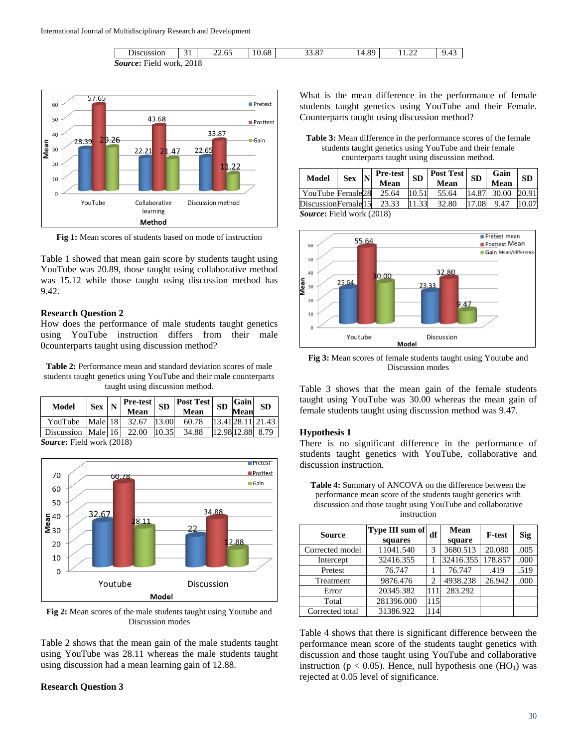



**Fig 1:** Mean scores of students based on mode of instruction

Table 1 showed that mean gain score by students taught using YouTube was 20.89, those taught using collaborative method was 15.12 while those taught using discussion method has 9.42.

#### **Research Question 2**

How does the performance of male students taught genetics using YouTube instruction differs from their male 0counterparts taught using discussion method?

**Table 2:** Performance mean and standard deviation scores of male students taught genetics using YouTube and their male counterparts taught using discussion method.

| Model                            | $Sex$ N |  | <b>Pre-test</b><br>Mean | SD    | <b>Post Test</b><br>Mean | SD | Gain<br><b>Mean</b> | <b>SD</b>         |
|----------------------------------|---------|--|-------------------------|-------|--------------------------|----|---------------------|-------------------|
| YouTube                          | Male 18 |  | 32.67                   | 13.00 | 60.78                    |    |                     | 13.41 28.11 21.43 |
| Discussion   Male   16           |         |  | 22.00                   | 10.35 | 34.88                    |    | 12.98 12.88         | 8.79              |
| <b>Source:</b> Field work (2018) |         |  |                         |       |                          |    |                     |                   |



**Fig 2:** Mean scores of the male students taught using Youtube and Discussion modes

Table 2 shows that the mean gain of the male students taught using YouTube was 28.11 whereas the male students taught using discussion had a mean learning gain of 12.88.

## **Research Question 3**

What is the mean difference in the performance of female students taught genetics using YouTube and their Female. Counterparts taught using discussion method?

**Table 3:** Mean difference in the performance scores of the female students taught genetics using YouTube and their female counterparts taught using discussion method.

| <b>Model</b>                   | <b>Sex</b> |  | <b>Pre-test</b><br>Mean | SD    | $\sim$   Post Test   SD   $\sim$<br>Mean |       | Gain<br>Mean | <b>SD</b> |  |
|--------------------------------|------------|--|-------------------------|-------|------------------------------------------|-------|--------------|-----------|--|
| YouTube Female28               |            |  | 25.64                   | 10.51 | 55.64                                    | 14.87 | 30.00        | 20.91     |  |
| DiscussionFemale <sup>15</sup> |            |  | 23.33                   | 11.33 | 32.80                                    | 17.08 | 9.47         | 10.07     |  |
| $Saurco$ Eigld work (2018)     |            |  |                         |       |                                          |       |              |           |  |

*Source***:** Field work (2018)



**Fig 3:** Mean scores of female students taught using Youtube and Discussion modes

Table 3 shows that the mean gain of the female students taught using YouTube was 30.00 whereas the mean gain of female students taught using discussion method was 9.47.

#### **Hypothesis 1**

There is no significant difference in the performance of students taught genetics with YouTube, collaborative and discussion instruction.

**Table 4:** Summary of ANCOVA on the difference between the performance mean score of the students taught genetics with discussion and those taught using YouTube and collaborative instruction

| <b>Source</b>   | Type III sum of <br>df<br>squares |     | Mean<br>square | <b>F</b> -test | Sig  |
|-----------------|-----------------------------------|-----|----------------|----------------|------|
| Corrected model | 11041.540                         | 3   | 3680.513       | 20.080         | .005 |
| Intercept       | 32416.355                         |     | 32416.355      | 178.857        | .000 |
| Pretest         | 76.747                            |     | 76.747         | .419           | .519 |
| Treatment       | 9876.476                          | 2   | 4938.238       | 26.942         | .000 |
| Error           | 20345.382                         | 111 | 283.292        |                |      |
| Total           | 281396.000                        | 115 |                |                |      |
| Corrected total | 31386.922                         | 114 |                |                |      |

Table 4 shows that there is significant difference between the performance mean score of the students taught genetics with discussion and those taught using YouTube and collaborative instruction ( $p < 0.05$ ). Hence, null hypothesis one (HO<sub>1</sub>) was rejected at 0.05 level of significance.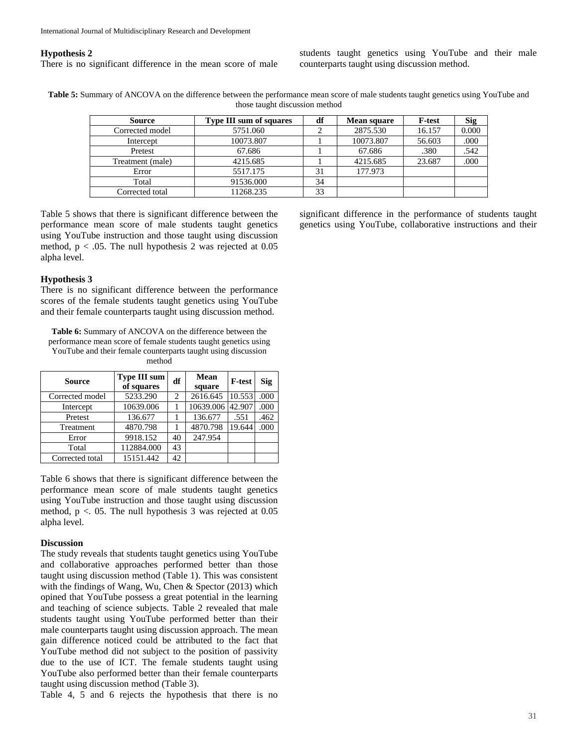#### **Hypothesis 2**

There is no significant difference in the mean score of male

students taught genetics using YouTube and their male counterparts taught using discussion method.

**Table 5:** Summary of ANCOVA on the difference between the performance mean score of male students taught genetics using YouTube and those taught discussion method

| <b>Source</b>    | <b>Type III sum of squares</b> | df | <b>Mean square</b> | <b>F</b> -test | Sig   |
|------------------|--------------------------------|----|--------------------|----------------|-------|
| Corrected model  | 5751.060                       |    | 2875.530           | 16.157         | 0.000 |
| Intercept        | 10073.807                      |    | 10073.807          | 56.603         | .000  |
| Pretest          | 67.686                         |    | 67.686             | .380           | .542  |
| Treatment (male) | 4215.685                       |    | 4215.685           | 23.687         | .000  |
| Error            | 5517.175                       | 31 | 177.973            |                |       |
| Total            | 91536.000                      | 34 |                    |                |       |
| Corrected total  | 11268.235                      | 33 |                    |                |       |

Table 5 shows that there is significant difference between the performance mean score of male students taught genetics using YouTube instruction and those taught using discussion method,  $p < .05$ . The null hypothesis 2 was rejected at 0.05 alpha level.

#### **Hypothesis 3**

There is no significant difference between the performance scores of the female students taught genetics using YouTube and their female counterparts taught using discussion method.

**Table 6:** Summary of ANCOVA on the difference between the performance mean score of female students taught genetics using YouTube and their female counterparts taught using discussion method

| <b>Source</b>   | Type III sum<br>of squares | df | <b>Mean</b><br>square | <b>F-test</b> | <b>Sig</b> |
|-----------------|----------------------------|----|-----------------------|---------------|------------|
| Corrected model | 5233.290                   | 2  | 2616.645              | 10.553        | .000       |
| Intercept       | 10639.006                  |    | 10639.006             | 42.907        | .000       |
| Pretest         | 136.677                    |    | 136.677               | .551          | .462       |
| Treatment       | 4870.798                   |    | 4870.798              | 19.644        | .000       |
| Error           | 9918.152                   | 40 | 247.954               |               |            |
| Total           | 112884.000                 | 43 |                       |               |            |
| Corrected total | 15151.442                  | 42 |                       |               |            |

Table 6 shows that there is significant difference between the performance mean score of male students taught genetics using YouTube instruction and those taught using discussion method,  $p < 0.05$ . The null hypothesis 3 was rejected at 0.05 alpha level.

#### **Discussion**

The study reveals that students taught genetics using YouTube and collaborative approaches performed better than those taught using discussion method (Table 1). This was consistent with the findings of Wang, Wu, Chen & Spector (2013) which opined that YouTube possess a great potential in the learning and teaching of science subjects. Table 2 revealed that male students taught using YouTube performed better than their male counterparts taught using discussion approach. The mean gain difference noticed could be attributed to the fact that YouTube method did not subject to the position of passivity due to the use of ICT. The female students taught using YouTube also performed better than their female counterparts taught using discussion method (Table 3).

Table 4, 5 and 6 rejects the hypothesis that there is no

significant difference in the performance of students taught genetics using YouTube, collaborative instructions and their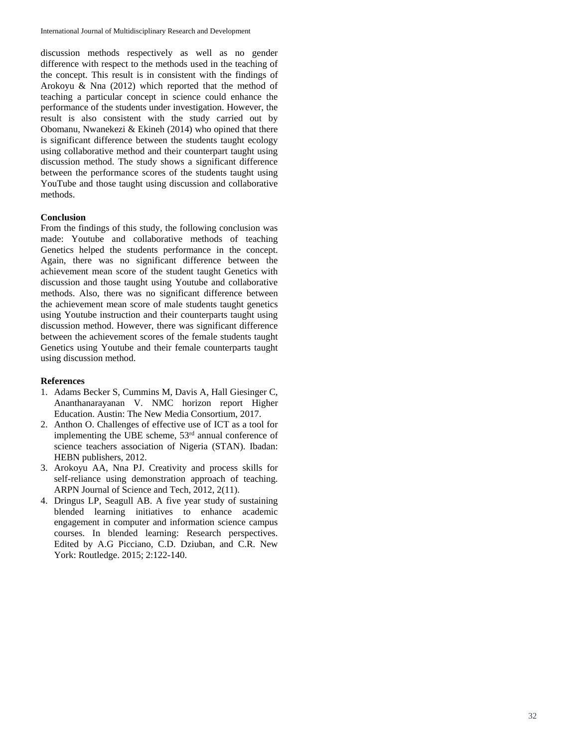discussion methods respectively as well as no gender difference with respect to the methods used in the teaching of the concept. This result is in consistent with the findings of Arokoyu & Nna (2012) which reported that the method of teaching a particular concept in science could enhance the performance of the students under investigation. However, the result is also consistent with the study carried out by Obomanu, Nwanekezi  $&$  Ekineh (2014) who opined that there is significant difference between the students taught ecology using collaborative method and their counterpart taught using discussion method. The study shows a significant difference between the performance scores of the students taught using YouTube and those taught using discussion and collaborative methods.

## **Conclusion**

From the findings of this study, the following conclusion was made: Youtube and collaborative methods of teaching Genetics helped the students performance in the concept. Again, there was no significant difference between the achievement mean score of the student taught Genetics with discussion and those taught using Youtube and collaborative methods. Also, there was no significant difference between the achievement mean score of male students taught genetics using Youtube instruction and their counterparts taught using discussion method. However, there was significant difference between the achievement scores of the female students taught Genetics using Youtube and their female counterparts taught using discussion method.

## **References**

- 1. Adams Becker S, Cummins M, Davis A, Hall Giesinger C, Ananthanarayanan V. NMC horizon report Higher Education. Austin: The New Media Consortium, 2017.
- 2. Anthon O. Challenges of effective use of ICT as a tool for implementing the UBE scheme,  $53<sup>rd</sup>$  annual conference of science teachers association of Nigeria (STAN). Ibadan: HEBN publishers, 2012.
- 3. Arokoyu AA, Nna PJ. Creativity and process skills for self-reliance using demonstration approach of teaching. ARPN Journal of Science and Tech, 2012, 2(11).
- 4. Dringus LP, Seagull AB. A five year study of sustaining blended learning initiatives to enhance academic engagement in computer and information science campus courses. In blended learning: Research perspectives. Edited by A.G Picciano, C.D. Dziuban, and C.R. New York: Routledge. 2015; 2:122 -140.